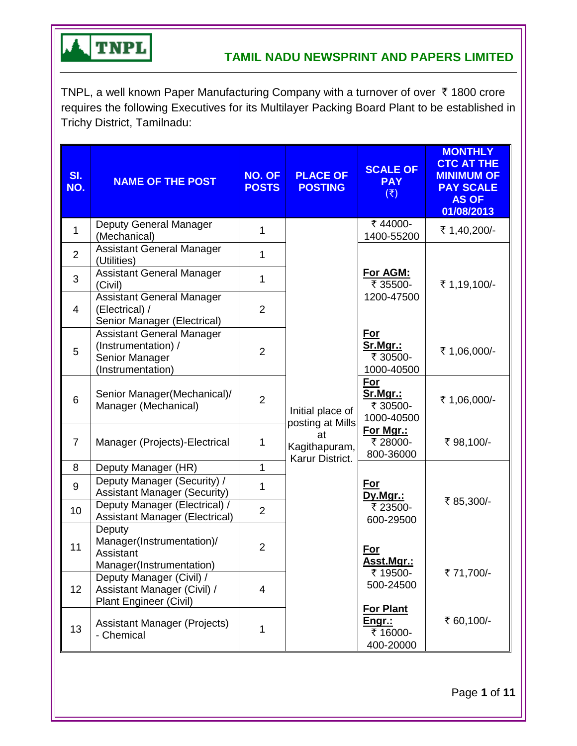

TNPL, a well known Paper Manufacturing Company with a turnover of over  $\bar{\tau}$  1800 crore requires the following Executives for its Multilayer Packing Board Plant to be established in Trichy District, Tamilnadu:

| SI.<br>NO.     | <b>NAME OF THE POST</b>                                                                        | NO. OF<br><b>POSTS</b> | <b>PLACE OF</b><br><b>POSTING</b>      | <b>SCALE OF</b><br><b>PAY</b><br>$(\overline{\xi})$        | <b>MONTHLY</b><br><b>CTC AT THE</b><br><b>MINIMUM OF</b><br><b>PAY SCALE</b><br><b>AS OF</b><br>01/08/2013 |
|----------------|------------------------------------------------------------------------------------------------|------------------------|----------------------------------------|------------------------------------------------------------|------------------------------------------------------------------------------------------------------------|
| $\mathbf{1}$   | Deputy General Manager<br>(Mechanical)                                                         | $\mathbf{1}$           |                                        | ₹44000-<br>1400-55200                                      | ₹ 1,40,200/-                                                                                               |
| $\overline{2}$ | <b>Assistant General Manager</b><br>(Utilities)                                                | 1                      |                                        |                                                            |                                                                                                            |
| 3              | <b>Assistant General Manager</b><br>(Civil)                                                    | 1                      |                                        | For AGM:<br>₹ 35500-                                       | ₹ 1,19,100/-                                                                                               |
| $\overline{4}$ | <b>Assistant General Manager</b><br>(Electrical) /<br>Senior Manager (Electrical)              | $\overline{2}$         |                                        | 1200-47500                                                 |                                                                                                            |
| 5              | <b>Assistant General Manager</b><br>(Instrumentation) /<br>Senior Manager<br>(Instrumentation) | $\overline{2}$         |                                        | For<br>Sr.Mgr.:<br>₹ 30500-<br>1000-40500                  | ₹ 1,06,000/-                                                                                               |
| 6              | Senior Manager(Mechanical)/<br>Manager (Mechanical)                                            | $\overline{2}$         | Initial place of<br>posting at Mills   | <u>For</u><br>Sr.Mgr.:<br>₹ 30500-<br>1000-40500           | ₹ 1,06,000/-                                                                                               |
| $\overline{7}$ | Manager (Projects)-Electrical                                                                  | 1                      | at<br>Kagithapuram,<br>Karur District. | For Mgr.:<br>₹ 28000-<br>800-36000                         | ₹ 98,100/-                                                                                                 |
| 8              | Deputy Manager (HR)                                                                            | $\mathbf{1}$           |                                        |                                                            |                                                                                                            |
| 9              | Deputy Manager (Security) /<br><b>Assistant Manager (Security)</b>                             | 1                      |                                        | <u>For</u><br>Dy.Mgr.:                                     |                                                                                                            |
| 10             | Deputy Manager (Electrical) /<br><b>Assistant Manager (Electrical)</b>                         | $\overline{2}$         |                                        | ₹ 23500-<br>600-29500                                      | ₹85,300/-                                                                                                  |
| 11             | Deputy<br>Manager(Instrumentation)/<br>Assistant<br>Manager(Instrumentation)                   | $\overline{2}$         |                                        | For<br>Asst.Mgr.:                                          |                                                                                                            |
| 12             | Deputy Manager (Civil) /<br>Assistant Manager (Civil) /<br>Plant Engineer (Civil)              | $\overline{4}$         |                                        | ₹ 19500-<br>500-24500                                      | ₹71,700/-                                                                                                  |
| 13             | <b>Assistant Manager (Projects)</b><br>- Chemical                                              | $\mathbf{1}$           |                                        | <b>For Plant</b><br><u>Engr.:</u><br>₹ 16000-<br>400-20000 | ₹ 60,100/-                                                                                                 |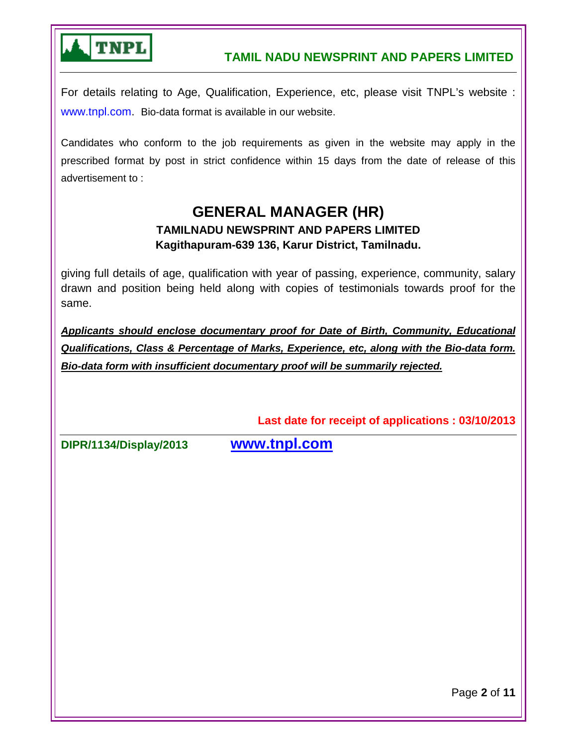

For details relating to Age, Qualification, Experience, etc, please visit TNPL's website : www.tnpl.com. Bio-data format is available in our website.

Candidates who conform to the job requirements as given in the website may apply in the prescribed format by post in strict confidence within 15 days from the date of release of this advertisement to :

# **GENERAL MANAGER (HR) TAMILNADU NEWSPRINT AND PAPERS LIMITED Kagithapuram-639 136, Karur District, Tamilnadu.**

giving full details of age, qualification with year of passing, experience, community, salary drawn and position being held along with copies of testimonials towards proof for the same.

*Applicants should enclose documentary proof for Date of Birth, Community, Educational Qualifications, Class & Percentage of Marks, Experience, etc, along with the Bio-data form. Bio-data form with insufficient documentary proof will be summarily rejected.*

**Last date for receipt of applications : 03/10/2013**

**DIPR/1134/Display/2013 www.tnpl.com**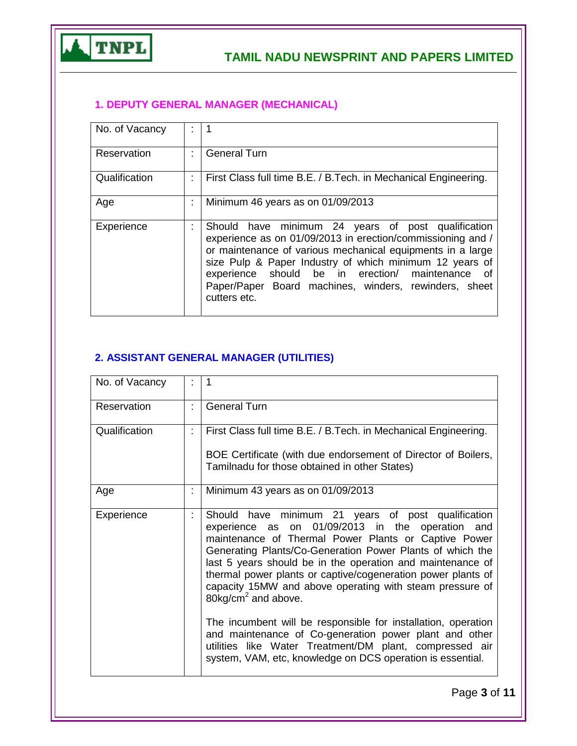

## **1. DEPUTY GENERAL MANAGER (MECHANICAL)**

| No. of Vacancy |   |                                                                                                                                                                                                                                                                                                                                                                         |
|----------------|---|-------------------------------------------------------------------------------------------------------------------------------------------------------------------------------------------------------------------------------------------------------------------------------------------------------------------------------------------------------------------------|
| Reservation    |   | <b>General Turn</b>                                                                                                                                                                                                                                                                                                                                                     |
| Qualification  | ÷ | First Class full time B.E. / B.Tech. in Mechanical Engineering.                                                                                                                                                                                                                                                                                                         |
| Age            |   | Minimum 46 years as on 01/09/2013                                                                                                                                                                                                                                                                                                                                       |
| Experience     |   | Should have minimum 24 years of post qualification<br>experience as on 01/09/2013 in erection/commissioning and /<br>or maintenance of various mechanical equipments in a large<br>size Pulp & Paper Industry of which minimum 12 years of<br>experience should be in erection/ maintenance of<br>Paper/Paper Board machines, winders, rewinders, sheet<br>cutters etc. |

### **2. ASSISTANT GENERAL MANAGER (UTILITIES)**

| No. of Vacancy |   | 1                                                                                                                                                                                                                                                                                                                                                                                                                                                                                                                                                                          |
|----------------|---|----------------------------------------------------------------------------------------------------------------------------------------------------------------------------------------------------------------------------------------------------------------------------------------------------------------------------------------------------------------------------------------------------------------------------------------------------------------------------------------------------------------------------------------------------------------------------|
| Reservation    | ÷ | <b>General Turn</b>                                                                                                                                                                                                                                                                                                                                                                                                                                                                                                                                                        |
| Qualification  | t | First Class full time B.E. / B.Tech. in Mechanical Engineering.<br>BOE Certificate (with due endorsement of Director of Boilers,<br>Tamilnadu for those obtained in other States)                                                                                                                                                                                                                                                                                                                                                                                          |
| Age            |   | Minimum 43 years as on 01/09/2013                                                                                                                                                                                                                                                                                                                                                                                                                                                                                                                                          |
| Experience     | t | Should have minimum 21 years of post qualification<br>experience as on 01/09/2013 in the operation and<br>maintenance of Thermal Power Plants or Captive Power<br>Generating Plants/Co-Generation Power Plants of which the<br>last 5 years should be in the operation and maintenance of<br>thermal power plants or captive/cogeneration power plants of<br>capacity 15MW and above operating with steam pressure of<br>80 $kg/cm2$ and above.<br>The incumbent will be responsible for installation, operation<br>and maintenance of Co-generation power plant and other |
|                |   | utilities like Water Treatment/DM plant, compressed air<br>system, VAM, etc, knowledge on DCS operation is essential.                                                                                                                                                                                                                                                                                                                                                                                                                                                      |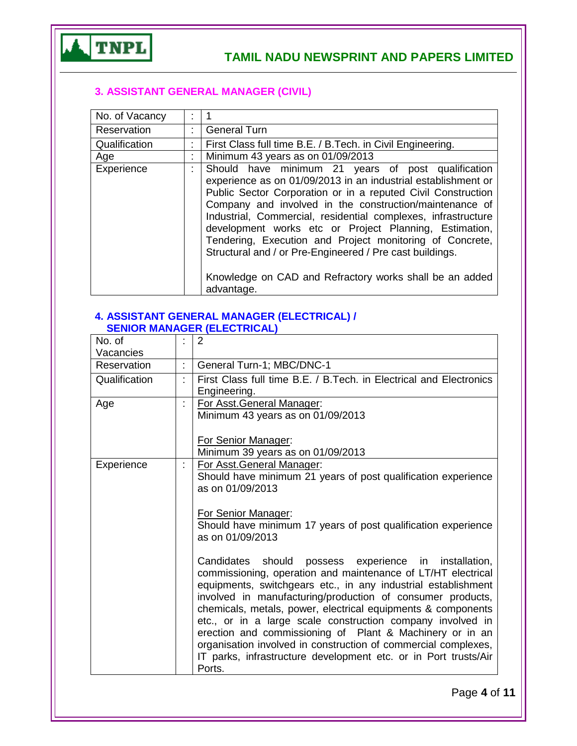

## **3. ASSISTANT GENERAL MANAGER (CIVIL)**

| No. of Vacancy |          |                                                                                                                                                                                                                                                                                                                                                                                                                                                                                                                                                                            |
|----------------|----------|----------------------------------------------------------------------------------------------------------------------------------------------------------------------------------------------------------------------------------------------------------------------------------------------------------------------------------------------------------------------------------------------------------------------------------------------------------------------------------------------------------------------------------------------------------------------------|
| Reservation    | ÷        | <b>General Turn</b>                                                                                                                                                                                                                                                                                                                                                                                                                                                                                                                                                        |
| Qualification  | t.       | First Class full time B.E. / B.Tech. in Civil Engineering.                                                                                                                                                                                                                                                                                                                                                                                                                                                                                                                 |
| Age            |          | Minimum 43 years as on 01/09/2013                                                                                                                                                                                                                                                                                                                                                                                                                                                                                                                                          |
| Experience     | ۰.<br>ä. | Should have minimum 21 years of post qualification<br>experience as on 01/09/2013 in an industrial establishment or<br>Public Sector Corporation or in a reputed Civil Construction<br>Company and involved in the construction/maintenance of<br>Industrial, Commercial, residential complexes, infrastructure<br>development works etc or Project Planning, Estimation,<br>Tendering, Execution and Project monitoring of Concrete,<br>Structural and / or Pre-Engineered / Pre cast buildings.<br>Knowledge on CAD and Refractory works shall be an added<br>advantage. |

#### **4. ASSISTANT GENERAL MANAGER (ELECTRICAL) / SENIOR MANAGER (ELECTRICAL)**

| No. of        |   | 2                                                                                                                                                                                                                                                                                                                                                                                                                                                                                                                                                                                                                                                                                                                                                                                                                           |
|---------------|---|-----------------------------------------------------------------------------------------------------------------------------------------------------------------------------------------------------------------------------------------------------------------------------------------------------------------------------------------------------------------------------------------------------------------------------------------------------------------------------------------------------------------------------------------------------------------------------------------------------------------------------------------------------------------------------------------------------------------------------------------------------------------------------------------------------------------------------|
| Vacancies     |   |                                                                                                                                                                                                                                                                                                                                                                                                                                                                                                                                                                                                                                                                                                                                                                                                                             |
| Reservation   |   | General Turn-1; MBC/DNC-1                                                                                                                                                                                                                                                                                                                                                                                                                                                                                                                                                                                                                                                                                                                                                                                                   |
| Qualification |   | First Class full time B.E. / B.Tech. in Electrical and Electronics<br>Engineering.                                                                                                                                                                                                                                                                                                                                                                                                                                                                                                                                                                                                                                                                                                                                          |
| Age           | ÷ | For Asst.General Manager:<br>Minimum 43 years as on 01/09/2013<br>For Senior Manager:<br>Minimum 39 years as on 01/09/2013                                                                                                                                                                                                                                                                                                                                                                                                                                                                                                                                                                                                                                                                                                  |
| Experience    |   | For Asst.General Manager:<br>Should have minimum 21 years of post qualification experience<br>as on 01/09/2013<br>For Senior Manager:<br>Should have minimum 17 years of post qualification experience<br>as on 01/09/2013<br>Candidates should possess experience in installation,<br>commissioning, operation and maintenance of LT/HT electrical<br>equipments, switchgears etc., in any industrial establishment<br>involved in manufacturing/production of consumer products,<br>chemicals, metals, power, electrical equipments & components<br>etc., or in a large scale construction company involved in<br>erection and commissioning of Plant & Machinery or in an<br>organisation involved in construction of commercial complexes,<br>IT parks, infrastructure development etc. or in Port trusts/Air<br>Ports. |

Page **4** of **11**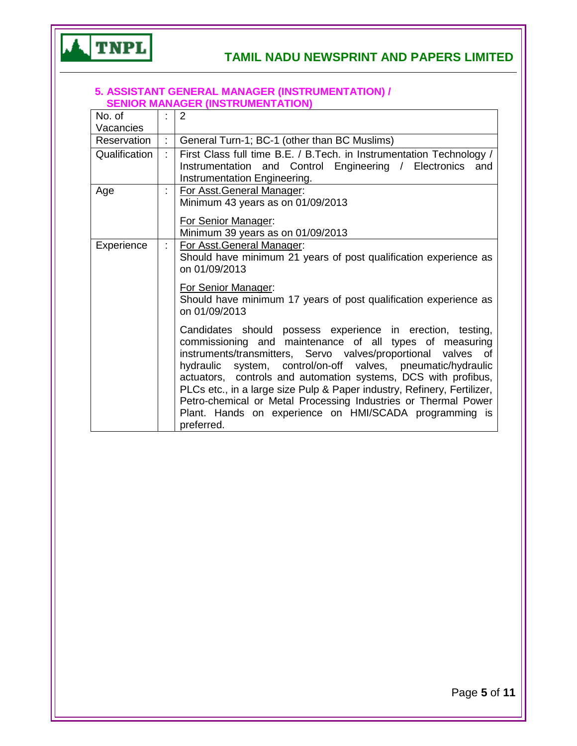

### **5. ASSISTANT GENERAL MANAGER (INSTRUMENTATION) / SENIOR MANAGER (INSTRUMENTATION)**

| No. of<br>Vacancies |   | 2                                                                                                                                                                                                                                                                                                                                                                                                                                                                                                                                                                                                                                                                                                                                                                            |
|---------------------|---|------------------------------------------------------------------------------------------------------------------------------------------------------------------------------------------------------------------------------------------------------------------------------------------------------------------------------------------------------------------------------------------------------------------------------------------------------------------------------------------------------------------------------------------------------------------------------------------------------------------------------------------------------------------------------------------------------------------------------------------------------------------------------|
| Reservation         | ÷ | General Turn-1; BC-1 (other than BC Muslims)                                                                                                                                                                                                                                                                                                                                                                                                                                                                                                                                                                                                                                                                                                                                 |
| Qualification       |   | First Class full time B.E. / B.Tech. in Instrumentation Technology /<br>Instrumentation and Control Engineering / Electronics<br>and<br>Instrumentation Engineering.                                                                                                                                                                                                                                                                                                                                                                                                                                                                                                                                                                                                         |
| Age                 |   | For Asst.General Manager:<br>Minimum 43 years as on 01/09/2013<br>For Senior Manager:<br>Minimum 39 years as on 01/09/2013                                                                                                                                                                                                                                                                                                                                                                                                                                                                                                                                                                                                                                                   |
| Experience          | ÷ | For Asst. General Manager:<br>Should have minimum 21 years of post qualification experience as<br>on 01/09/2013<br>For Senior Manager:<br>Should have minimum 17 years of post qualification experience as<br>on 01/09/2013<br>Candidates should possess experience in erection, testing,<br>commissioning and maintenance of all types of measuring<br>instruments/transmitters, Servo valves/proportional valves of<br>hydraulic system, control/on-off valves, pneumatic/hydraulic<br>actuators, controls and automation systems, DCS with profibus,<br>PLCs etc., in a large size Pulp & Paper industry, Refinery, Fertilizer,<br>Petro-chemical or Metal Processing Industries or Thermal Power<br>Plant. Hands on experience on HMI/SCADA programming is<br>preferred. |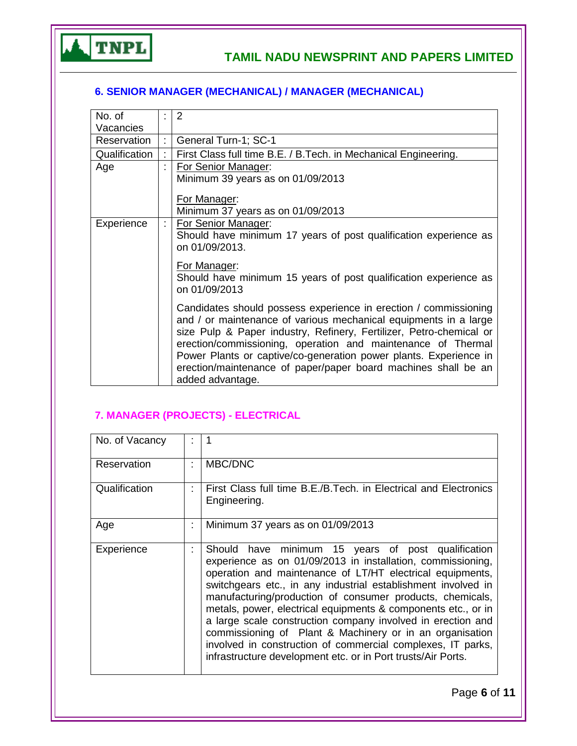

## **6. SENIOR MANAGER (MECHANICAL) / MANAGER (MECHANICAL)**

| No. of        | t | 2                                                                                                                                                                                                                                                                                                                                                                                                                                      |
|---------------|---|----------------------------------------------------------------------------------------------------------------------------------------------------------------------------------------------------------------------------------------------------------------------------------------------------------------------------------------------------------------------------------------------------------------------------------------|
| Vacancies     |   |                                                                                                                                                                                                                                                                                                                                                                                                                                        |
| Reservation   | ÷ | General Turn-1; SC-1                                                                                                                                                                                                                                                                                                                                                                                                                   |
| Qualification |   | First Class full time B.E. / B.Tech. in Mechanical Engineering.                                                                                                                                                                                                                                                                                                                                                                        |
| Age           |   | For Senior Manager:<br>Minimum 39 years as on 01/09/2013<br>For Manager:<br>Minimum 37 years as on 01/09/2013                                                                                                                                                                                                                                                                                                                          |
| Experience    | ÷ | For Senior Manager:<br>Should have minimum 17 years of post qualification experience as<br>on 01/09/2013.<br>For Manager:<br>Should have minimum 15 years of post qualification experience as<br>on 01/09/2013                                                                                                                                                                                                                         |
|               |   | Candidates should possess experience in erection / commissioning<br>and / or maintenance of various mechanical equipments in a large<br>size Pulp & Paper industry, Refinery, Fertilizer, Petro-chemical or<br>erection/commissioning, operation and maintenance of Thermal<br>Power Plants or captive/co-generation power plants. Experience in<br>erection/maintenance of paper/paper board machines shall be an<br>added advantage. |

## **7. MANAGER (PROJECTS) - ELECTRICAL**

| No. of Vacancy |    |                                                                                                                                                                                                                                                                                                                                                                                                                                                                                                                                                                                                                                         |
|----------------|----|-----------------------------------------------------------------------------------------------------------------------------------------------------------------------------------------------------------------------------------------------------------------------------------------------------------------------------------------------------------------------------------------------------------------------------------------------------------------------------------------------------------------------------------------------------------------------------------------------------------------------------------------|
| Reservation    | t. | MBC/DNC                                                                                                                                                                                                                                                                                                                                                                                                                                                                                                                                                                                                                                 |
| Qualification  |    | First Class full time B.E./B. Tech. in Electrical and Electronics<br>Engineering.                                                                                                                                                                                                                                                                                                                                                                                                                                                                                                                                                       |
| Age            |    | Minimum 37 years as on 01/09/2013                                                                                                                                                                                                                                                                                                                                                                                                                                                                                                                                                                                                       |
| Experience     | ÷. | Should have minimum 15 years of post qualification<br>experience as on 01/09/2013 in installation, commissioning,<br>operation and maintenance of LT/HT electrical equipments,<br>switchgears etc., in any industrial establishment involved in<br>manufacturing/production of consumer products, chemicals,<br>metals, power, electrical equipments & components etc., or in<br>a large scale construction company involved in erection and<br>commissioning of Plant & Machinery or in an organisation<br>involved in construction of commercial complexes, IT parks,<br>infrastructure development etc. or in Port trusts/Air Ports. |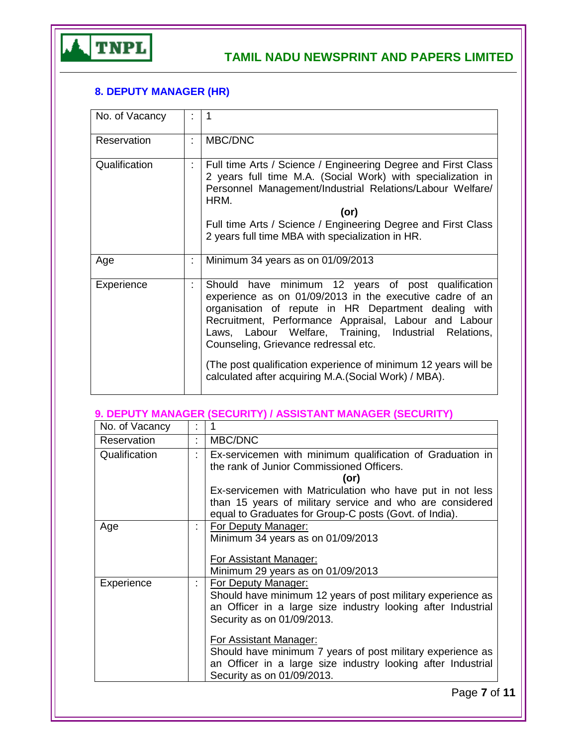

## **8. DEPUTY MANAGER (HR)**

| No. of Vacancy | ÷. |                                                                                                                                                                                                                                                                                                                                                                                                                                                             |
|----------------|----|-------------------------------------------------------------------------------------------------------------------------------------------------------------------------------------------------------------------------------------------------------------------------------------------------------------------------------------------------------------------------------------------------------------------------------------------------------------|
| Reservation    | t. | MBC/DNC                                                                                                                                                                                                                                                                                                                                                                                                                                                     |
| Qualification  | t. | Full time Arts / Science / Engineering Degree and First Class<br>2 years full time M.A. (Social Work) with specialization in<br>Personnel Management/Industrial Relations/Labour Welfare/<br>HRM.<br>(or)<br>Full time Arts / Science / Engineering Degree and First Class<br>2 years full time MBA with specialization in HR.                                                                                                                              |
| Age            | t. | Minimum 34 years as on 01/09/2013                                                                                                                                                                                                                                                                                                                                                                                                                           |
| Experience     | t. | Should have minimum 12 years of post qualification<br>experience as on 01/09/2013 in the executive cadre of an<br>organisation of repute in HR Department dealing with<br>Recruitment, Performance Appraisal, Labour and Labour<br>Laws, Labour Welfare, Training, Industrial Relations,<br>Counseling, Grievance redressal etc.<br>(The post qualification experience of minimum 12 years will be<br>calculated after acquiring M.A. (Social Work) / MBA). |

|                | 9. DEPUTY MANAGER (SECURITY) / ASSISTANT MANAGER (SECURITY)                                                                                                                                                                                                                                                                                                            |
|----------------|------------------------------------------------------------------------------------------------------------------------------------------------------------------------------------------------------------------------------------------------------------------------------------------------------------------------------------------------------------------------|
| No. of Vacancy |                                                                                                                                                                                                                                                                                                                                                                        |
| Reservation    | MBC/DNC                                                                                                                                                                                                                                                                                                                                                                |
| Qualification  | Ex-servicemen with minimum qualification of Graduation in<br>the rank of Junior Commissioned Officers.<br>(or)<br>Ex-servicemen with Matriculation who have put in not less<br>than 15 years of military service and who are considered<br>equal to Graduates for Group-C posts (Govt. of India).                                                                      |
| Age            | For Deputy Manager:<br>Minimum 34 years as on 01/09/2013<br><b>For Assistant Manager:</b><br>Minimum 29 years as on 01/09/2013                                                                                                                                                                                                                                         |
| Experience     | For Deputy Manager:<br>Should have minimum 12 years of post military experience as<br>an Officer in a large size industry looking after Industrial<br>Security as on 01/09/2013.<br>For Assistant Manager:<br>Should have minimum 7 years of post military experience as<br>an Officer in a large size industry looking after Industrial<br>Security as on 01/09/2013. |
|                | Page 7 of 11                                                                                                                                                                                                                                                                                                                                                           |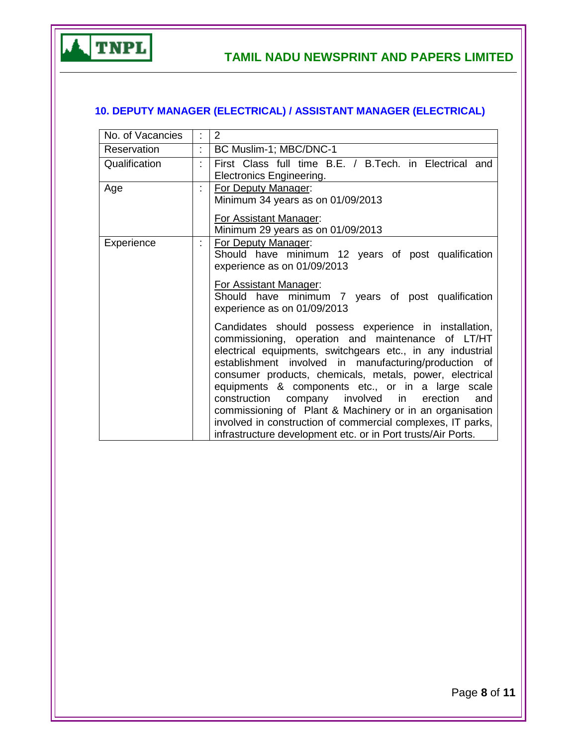

# **10. DEPUTY MANAGER (ELECTRICAL) / ASSISTANT MANAGER (ELECTRICAL)**

| No. of Vacancies | 2                                                            |
|------------------|--------------------------------------------------------------|
| Reservation      | BC Muslim-1; MBC/DNC-1                                       |
| Qualification    | First Class full time B.E. / B.Tech. in Electrical and       |
|                  | Electronics Engineering.                                     |
| Age              | For Deputy Manager:                                          |
|                  | Minimum 34 years as on 01/09/2013                            |
|                  | For Assistant Manager:                                       |
|                  | Minimum 29 years as on 01/09/2013                            |
| Experience       | For Deputy Manager:                                          |
|                  | Should have minimum 12 years of post qualification           |
|                  | experience as on 01/09/2013                                  |
|                  | For Assistant Manager:                                       |
|                  | Should have minimum 7 years of post qualification            |
|                  | experience as on 01/09/2013                                  |
|                  | Candidates should possess experience in installation,        |
|                  | commissioning, operation and maintenance of LT/HT            |
|                  | electrical equipments, switchgears etc., in any industrial   |
|                  | establishment involved in manufacturing/production of        |
|                  | consumer products, chemicals, metals, power, electrical      |
|                  | equipments & components etc., or in a large scale            |
|                  | company involved in erection<br>construction<br>and          |
|                  | commissioning of Plant & Machinery or in an organisation     |
|                  | involved in construction of commercial complexes, IT parks,  |
|                  | infrastructure development etc. or in Port trusts/Air Ports. |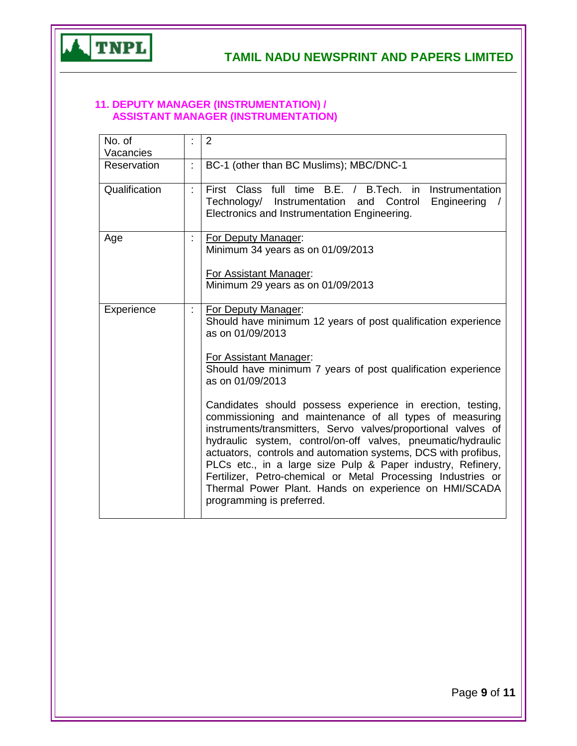

### **11. DEPUTY MANAGER (INSTRUMENTATION) / ASSISTANT MANAGER (INSTRUMENTATION)**

| No. of<br>Vacancies | 2                                                                                                                                                                                                                                                                                                                                                                                                                                                                                                                                                                                                                                                                                                                                                                       |
|---------------------|-------------------------------------------------------------------------------------------------------------------------------------------------------------------------------------------------------------------------------------------------------------------------------------------------------------------------------------------------------------------------------------------------------------------------------------------------------------------------------------------------------------------------------------------------------------------------------------------------------------------------------------------------------------------------------------------------------------------------------------------------------------------------|
| Reservation         | BC-1 (other than BC Muslims); MBC/DNC-1                                                                                                                                                                                                                                                                                                                                                                                                                                                                                                                                                                                                                                                                                                                                 |
| Qualification       | First Class full time B.E. / B.Tech. in Instrumentation<br>Technology/ Instrumentation and Control<br>Engineering<br>Electronics and Instrumentation Engineering.                                                                                                                                                                                                                                                                                                                                                                                                                                                                                                                                                                                                       |
| Age                 | For Deputy Manager:<br>Minimum 34 years as on 01/09/2013<br>For Assistant Manager:<br>Minimum 29 years as on 01/09/2013                                                                                                                                                                                                                                                                                                                                                                                                                                                                                                                                                                                                                                                 |
| Experience          | For Deputy Manager:<br>Should have minimum 12 years of post qualification experience<br>as on 01/09/2013<br>For Assistant Manager:<br>Should have minimum 7 years of post qualification experience<br>as on 01/09/2013<br>Candidates should possess experience in erection, testing,<br>commissioning and maintenance of all types of measuring<br>instruments/transmitters, Servo valves/proportional valves of<br>hydraulic system, control/on-off valves, pneumatic/hydraulic<br>actuators, controls and automation systems, DCS with profibus,<br>PLCs etc., in a large size Pulp & Paper industry, Refinery,<br>Fertilizer, Petro-chemical or Metal Processing Industries or<br>Thermal Power Plant. Hands on experience on HMI/SCADA<br>programming is preferred. |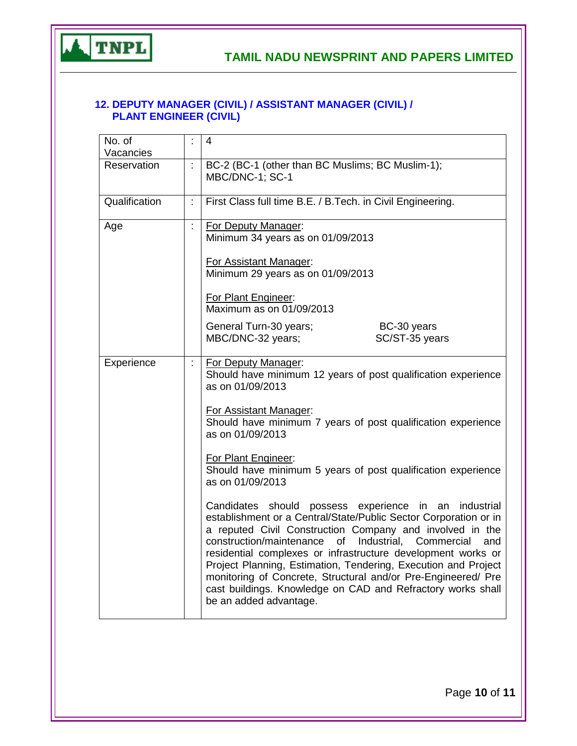

### **12. DEPUTY MANAGER (CIVIL) / ASSISTANT MANAGER (CIVIL) / PLANT ENGINEER (CIVIL)**

| No. of<br>Vacancies |    | 4                                                                                                                                                                                                                                                                                                                                                                                                                                                                                                                                              |
|---------------------|----|------------------------------------------------------------------------------------------------------------------------------------------------------------------------------------------------------------------------------------------------------------------------------------------------------------------------------------------------------------------------------------------------------------------------------------------------------------------------------------------------------------------------------------------------|
| Reservation         |    | BC-2 (BC-1 (other than BC Muslims; BC Muslim-1);<br>MBC/DNC-1; SC-1                                                                                                                                                                                                                                                                                                                                                                                                                                                                            |
| Qualification       | ł. | First Class full time B.E. / B.Tech. in Civil Engineering.                                                                                                                                                                                                                                                                                                                                                                                                                                                                                     |
| Age                 |    | For Deputy Manager:<br>Minimum 34 years as on 01/09/2013<br>For Assistant Manager:                                                                                                                                                                                                                                                                                                                                                                                                                                                             |
|                     |    | Minimum 29 years as on 01/09/2013<br>For Plant Engineer:<br>Maximum as on 01/09/2013                                                                                                                                                                                                                                                                                                                                                                                                                                                           |
|                     |    | General Turn-30 years;<br>BC-30 years<br>SC/ST-35 years<br>MBC/DNC-32 years;                                                                                                                                                                                                                                                                                                                                                                                                                                                                   |
| Experience          | t  | For Deputy Manager:<br>Should have minimum 12 years of post qualification experience<br>as on 01/09/2013                                                                                                                                                                                                                                                                                                                                                                                                                                       |
|                     |    | For Assistant Manager:<br>Should have minimum 7 years of post qualification experience<br>as on 01/09/2013                                                                                                                                                                                                                                                                                                                                                                                                                                     |
|                     |    | For Plant Engineer:<br>Should have minimum 5 years of post qualification experience<br>as on 01/09/2013                                                                                                                                                                                                                                                                                                                                                                                                                                        |
|                     |    | Candidates should possess experience in an industrial<br>establishment or a Central/State/Public Sector Corporation or in<br>a reputed Civil Construction Company and involved in the<br>construction/maintenance of Industrial, Commercial<br>and<br>residential complexes or infrastructure development works or<br>Project Planning, Estimation, Tendering, Execution and Project<br>monitoring of Concrete, Structural and/or Pre-Engineered/ Pre<br>cast buildings. Knowledge on CAD and Refractory works shall<br>be an added advantage. |